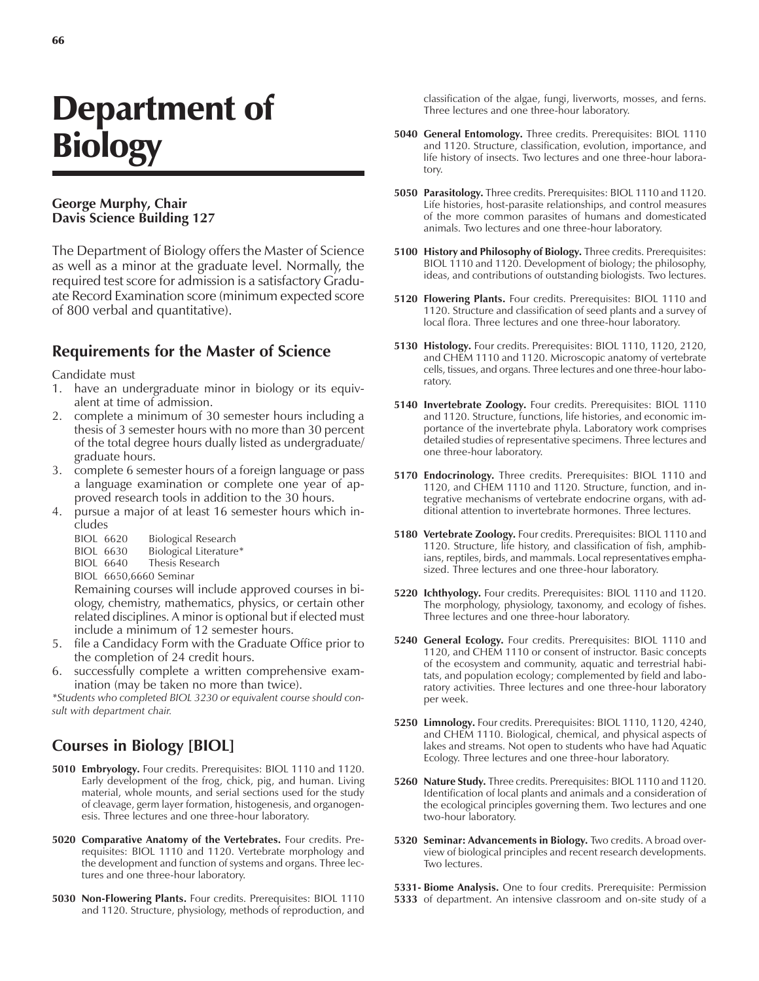# Department of **Biology**

#### **George Murphy, Chair Davis Science Building 127**

The Department of Biology offers the Master of Science as well as a minor at the graduate level. Normally, the required test score for admission is a satisfactory Graduate Record Examination score (minimum expected score of 800 verbal and quantitative).

#### **Requirements for the Master of Science**

Candidate must

- 1. have an undergraduate minor in biology or its equivalent at time of admission.
- 2. complete a minimum of 30 semester hours including a thesis of 3 semester hours with no more than 30 percent of the total degree hours dually listed as undergraduate/ graduate hours.
- 3. complete 6 semester hours of a foreign language or pass a language examination or complete one year of approved research tools in addition to the 30 hours.
- 4. pursue a major of at least 16 semester hours which includes
	- BIOL 6620 Biological Research
	- BIOL 6630 Biological Literature\*<br>BIOL 6640 Thesis Research
	- Thesis Research

BIOL 6650,6660 Seminar

Remaining courses will include approved courses in biology, chemistry, mathematics, physics, or certain other related disciplines. A minor is optional but if elected must include a minimum of 12 semester hours.

- 5. file a Candidacy Form with the Graduate Office prior to the completion of 24 credit hours.
- 6. successfully complete a written comprehensive examination (may be taken no more than twice).

*\*Students who completed BIOL 3230 or equivalent course should consult with department chair.*

## **Courses in Biology [BIOL]**

- **5010 Embryology.** Four credits. Prerequisites: BIOL 1110 and 1120. Early development of the frog, chick, pig, and human. Living material, whole mounts, and serial sections used for the study of cleavage, germ layer formation, histogenesis, and organogenesis. Three lectures and one three-hour laboratory.
- **5020 Comparative Anatomy of the Vertebrates.** Four credits. Prerequisites: BIOL 1110 and 1120. Vertebrate morphology and the development and function of systems and organs. Three lectures and one three-hour laboratory.
- **5030 Non-Flowering Plants.** Four credits. Prerequisites: BIOL 1110 and 1120. Structure, physiology, methods of reproduction, and

classification of the algae, fungi, liverworts, mosses, and ferns. Three lectures and one three-hour laboratory.

- **5040 General Entomology.** Three credits. Prerequisites: BIOL 1110 and 1120. Structure, classification, evolution, importance, and life history of insects. Two lectures and one three-hour laboratory.
- **5050 Parasitology.** Three credits. Prerequisites: BIOL 1110 and 1120. Life histories, host-parasite relationships, and control measures of the more common parasites of humans and domesticated animals. Two lectures and one three-hour laboratory.
- **5100 History and Philosophy of Biology.** Three credits. Prerequisites: BIOL 1110 and 1120. Development of biology; the philosophy, ideas, and contributions of outstanding biologists. Two lectures.
- **5120 Flowering Plants.** Four credits. Prerequisites: BIOL 1110 and 1120. Structure and classification of seed plants and a survey of local flora. Three lectures and one three-hour laboratory.
- **5130 Histology.** Four credits. Prerequisites: BIOL 1110, 1120, 2120, and CHEM 1110 and 1120. Microscopic anatomy of vertebrate cells, tissues, and organs. Three lectures and one three-hour laboratory.
- **5140 Invertebrate Zoology.** Four credits. Prerequisites: BIOL 1110 and 1120. Structure, functions, life histories, and economic importance of the invertebrate phyla. Laboratory work comprises detailed studies of representative specimens. Three lectures and one three-hour laboratory.
- **5170 Endocrinology.** Three credits. Prerequisites: BIOL 1110 and 1120, and CHEM 1110 and 1120. Structure, function, and integrative mechanisms of vertebrate endocrine organs, with additional attention to invertebrate hormones. Three lectures.
- **5180 Vertebrate Zoology.** Four credits. Prerequisites: BIOL 1110 and 1120. Structure, life history, and classification of fish, amphibians, reptiles, birds, and mammals. Local representatives emphasized. Three lectures and one three-hour laboratory.
- **5220 Ichthyology.** Four credits. Prerequisites: BIOL 1110 and 1120. The morphology, physiology, taxonomy, and ecology of fishes. Three lectures and one three-hour laboratory.
- **5240 General Ecology.** Four credits. Prerequisites: BIOL 1110 and 1120, and CHEM 1110 or consent of instructor. Basic concepts of the ecosystem and community, aquatic and terrestrial habitats, and population ecology; complemented by field and laboratory activities. Three lectures and one three-hour laboratory per week.
- **5250 Limnology.** Four credits. Prerequisites: BIOL 1110, 1120, 4240, and CHEM 1110. Biological, chemical, and physical aspects of lakes and streams. Not open to students who have had Aquatic Ecology. Three lectures and one three-hour laboratory.
- **5260 Nature Study.** Three credits. Prerequisites: BIOL 1110 and 1120. Identification of local plants and animals and a consideration of the ecological principles governing them. Two lectures and one two-hour laboratory.
- **5320 Seminar: Advancements in Biology.** Two credits. A broad overview of biological principles and recent research developments. Two lectures.

**5331- Biome Analysis.** One to four credits. Prerequisite: Permission

**5333** of department. An intensive classroom and on-site study of a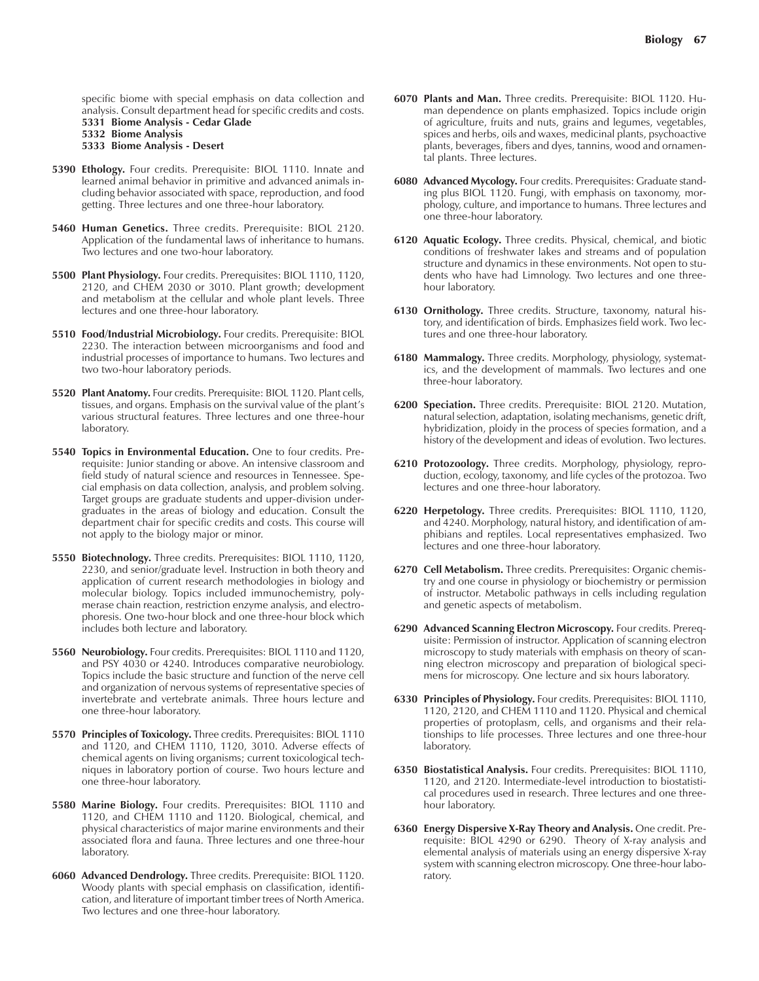specific biome with special emphasis on data collection and analysis. Consult department head for specific credits and costs. **5331 Biome Analysis - Cedar Glade**

**5332 Biome Analysis**

```
5333 Biome Analysis - Desert
```
- **5390 Ethology.** Four credits. Prerequisite: BIOL 1110. Innate and learned animal behavior in primitive and advanced animals including behavior associated with space, reproduction, and food getting. Three lectures and one three-hour laboratory.
- **5460 Human Genetics.** Three credits. Prerequisite: BIOL 2120. Application of the fundamental laws of inheritance to humans. Two lectures and one two-hour laboratory.
- **5500 Plant Physiology.** Four credits. Prerequisites: BIOL 1110, 1120, 2120, and CHEM 2030 or 3010. Plant growth; development and metabolism at the cellular and whole plant levels. Three lectures and one three-hour laboratory.
- **5510 Food/Industrial Microbiology.** Four credits. Prerequisite: BIOL 2230. The interaction between microorganisms and food and industrial processes of importance to humans. Two lectures and two two-hour laboratory periods.
- **5520 Plant Anatomy.** Four credits. Prerequisite: BIOL 1120. Plant cells, tissues, and organs. Emphasis on the survival value of the plant's various structural features. Three lectures and one three-hour laboratory.
- **5540 Topics in Environmental Education.** One to four credits. Prerequisite: Junior standing or above. An intensive classroom and field study of natural science and resources in Tennessee. Special emphasis on data collection, analysis, and problem solving. Target groups are graduate students and upper-division undergraduates in the areas of biology and education. Consult the department chair for specific credits and costs. This course will not apply to the biology major or minor.
- **5550 Biotechnology.** Three credits. Prerequisites: BIOL 1110, 1120, 2230, and senior/graduate level. Instruction in both theory and application of current research methodologies in biology and molecular biology. Topics included immunochemistry, polymerase chain reaction, restriction enzyme analysis, and electrophoresis. One two-hour block and one three-hour block which includes both lecture and laboratory.
- **5560 Neurobiology.** Four credits. Prerequisites: BIOL 1110 and 1120, and PSY 4030 or 4240. Introduces comparative neurobiology. Topics include the basic structure and function of the nerve cell and organization of nervous systems of representative species of invertebrate and vertebrate animals. Three hours lecture and one three-hour laboratory.
- **5570 Principles of Toxicology.** Three credits. Prerequisites: BIOL 1110 and 1120, and CHEM 1110, 1120, 3010. Adverse effects of chemical agents on living organisms; current toxicological techniques in laboratory portion of course. Two hours lecture and one three-hour laboratory.
- **5580 Marine Biology.** Four credits. Prerequisites: BIOL 1110 and 1120, and CHEM 1110 and 1120. Biological, chemical, and physical characteristics of major marine environments and their associated flora and fauna. Three lectures and one three-hour laboratory.
- **6060 Advanced Dendrology.** Three credits. Prerequisite: BIOL 1120. Woody plants with special emphasis on classification, identification, and literature of important timber trees of North America. Two lectures and one three-hour laboratory.
- **6070 Plants and Man.** Three credits. Prerequisite: BIOL 1120. Human dependence on plants emphasized. Topics include origin of agriculture, fruits and nuts, grains and legumes, vegetables, spices and herbs, oils and waxes, medicinal plants, psychoactive plants, beverages, fibers and dyes, tannins, wood and ornamental plants. Three lectures.
- **6080 Advanced Mycology.** Four credits. Prerequisites: Graduate standing plus BIOL 1120. Fungi, with emphasis on taxonomy, morphology, culture, and importance to humans. Three lectures and one three-hour laboratory.
- **6120 Aquatic Ecology.** Three credits. Physical, chemical, and biotic conditions of freshwater lakes and streams and of population structure and dynamics in these environments. Not open to students who have had Limnology. Two lectures and one threehour laboratory.
- **6130 Ornithology.** Three credits. Structure, taxonomy, natural history, and identification of birds. Emphasizes field work. Two lectures and one three-hour laboratory.
- **6180 Mammalogy.** Three credits. Morphology, physiology, systematics, and the development of mammals. Two lectures and one three-hour laboratory.
- **6200 Speciation.** Three credits. Prerequisite: BIOL 2120. Mutation, natural selection, adaptation, isolating mechanisms, genetic drift, hybridization, ploidy in the process of species formation, and a history of the development and ideas of evolution. Two lectures.
- **6210 Protozoology.** Three credits. Morphology, physiology, reproduction, ecology, taxonomy, and life cycles of the protozoa. Two lectures and one three-hour laboratory.
- **6220 Herpetology.** Three credits. Prerequisites: BIOL 1110, 1120, and 4240. Morphology, natural history, and identification of amphibians and reptiles. Local representatives emphasized. Two lectures and one three-hour laboratory.
- **6270 Cell Metabolism.** Three credits. Prerequisites: Organic chemistry and one course in physiology or biochemistry or permission of instructor. Metabolic pathways in cells including regulation and genetic aspects of metabolism.
- **6290 Advanced Scanning Electron Microscopy.** Four credits. Prerequisite: Permission of instructor. Application of scanning electron microscopy to study materials with emphasis on theory of scanning electron microscopy and preparation of biological specimens for microscopy. One lecture and six hours laboratory.
- **6330 Principles of Physiology.** Four credits. Prerequisites: BIOL 1110, 1120, 2120, and CHEM 1110 and 1120. Physical and chemical properties of protoplasm, cells, and organisms and their relationships to life processes. Three lectures and one three-hour laboratory.
- **6350 Biostatistical Analysis.** Four credits. Prerequisites: BIOL 1110, 1120, and 2120. Intermediate-level introduction to biostatistical procedures used in research. Three lectures and one threehour laboratory.
- **6360 Energy Dispersive X-Ray Theory and Analysis.** One credit. Prerequisite: BIOL 4290 or 6290. Theory of X-ray analysis and elemental analysis of materials using an energy dispersive X-ray system with scanning electron microscopy. One three-hour laboratory.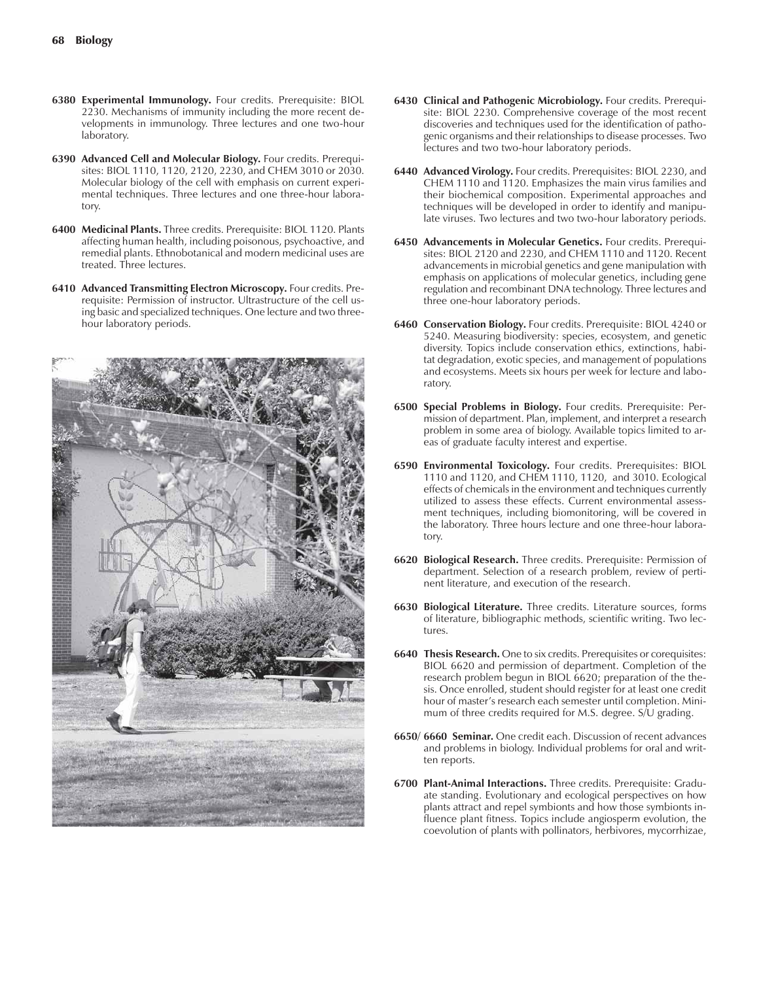- **6380 Experimental Immunology.** Four credits. Prerequisite: BIOL 2230. Mechanisms of immunity including the more recent developments in immunology. Three lectures and one two-hour laboratory.
- **6390 Advanced Cell and Molecular Biology.** Four credits. Prerequisites: BIOL 1110, 1120, 2120, 2230, and CHEM 3010 or 2030. Molecular biology of the cell with emphasis on current experimental techniques. Three lectures and one three-hour laboratory.
- **6400 Medicinal Plants.** Three credits. Prerequisite: BIOL 1120. Plants affecting human health, including poisonous, psychoactive, and remedial plants. Ethnobotanical and modern medicinal uses are treated. Three lectures.
- **6410 Advanced Transmitting Electron Microscopy.** Four credits. Prerequisite: Permission of instructor. Ultrastructure of the cell using basic and specialized techniques. One lecture and two threehour laboratory periods.



- **6430 Clinical and Pathogenic Microbiology.** Four credits. Prerequisite: BIOL 2230. Comprehensive coverage of the most recent discoveries and techniques used for the identification of pathogenic organisms and their relationships to disease processes. Two lectures and two two-hour laboratory periods.
- **6440 Advanced Virology.** Four credits. Prerequisites: BIOL 2230, and CHEM 1110 and 1120. Emphasizes the main virus families and their biochemical composition. Experimental approaches and techniques will be developed in order to identify and manipulate viruses. Two lectures and two two-hour laboratory periods.
- **6450 Advancements in Molecular Genetics.** Four credits. Prerequisites: BIOL 2120 and 2230, and CHEM 1110 and 1120. Recent advancements in microbial genetics and gene manipulation with emphasis on applications of molecular genetics, including gene regulation and recombinant DNA technology. Three lectures and three one-hour laboratory periods.
- **6460 Conservation Biology.** Four credits. Prerequisite: BIOL 4240 or 5240. Measuring biodiversity: species, ecosystem, and genetic diversity. Topics include conservation ethics, extinctions, habitat degradation, exotic species, and management of populations and ecosystems. Meets six hours per week for lecture and laboratory.
- **6500 Special Problems in Biology.** Four credits. Prerequisite: Permission of department. Plan, implement, and interpret a research problem in some area of biology. Available topics limited to areas of graduate faculty interest and expertise.
- **6590 Environmental Toxicology.** Four credits. Prerequisites: BIOL 1110 and 1120, and CHEM 1110, 1120, and 3010. Ecological effects of chemicals in the environment and techniques currently utilized to assess these effects. Current environmental assessment techniques, including biomonitoring, will be covered in the laboratory. Three hours lecture and one three-hour laboratory.
- **6620 Biological Research.** Three credits. Prerequisite: Permission of department. Selection of a research problem, review of pertinent literature, and execution of the research.
- **6630 Biological Literature.** Three credits. Literature sources, forms of literature, bibliographic methods, scientific writing. Two lectures.
- **6640 Thesis Research.** One to six credits. Prerequisites or corequisites: BIOL 6620 and permission of department. Completion of the research problem begun in BIOL 6620; preparation of the thesis. Once enrolled, student should register for at least one credit hour of master's research each semester until completion. Minimum of three credits required for M.S. degree. S/U grading.
- **6650/ 6660 Seminar.** One credit each. Discussion of recent advances and problems in biology. Individual problems for oral and written reports.
- **6700 Plant-Animal Interactions.** Three credits. Prerequisite: Graduate standing. Evolutionary and ecological perspectives on how plants attract and repel symbionts and how those symbionts influence plant fitness. Topics include angiosperm evolution, the coevolution of plants with pollinators, herbivores, mycorrhizae,